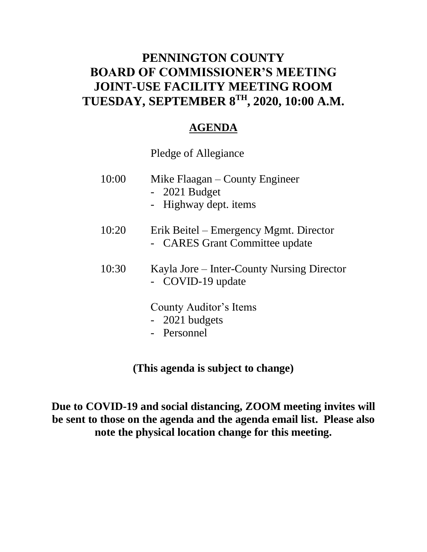### **PENNINGTON COUNTY BOARD OF COMMISSIONER'S MEETING JOINT-USE FACILITY MEETING ROOM TUESDAY, SEPTEMBER 8TH , 2020, 10:00 A.M.**

### **AGENDA**

Pledge of Allegiance

| 10:00 | Mike Flaagan – County Engineer<br>$-2021$ Budget<br>- Highway dept. items |
|-------|---------------------------------------------------------------------------|
| 10:20 | Erik Beitel – Emergency Mgmt. Director<br>- CARES Grant Committee update  |
| 10:30 | Kayla Jore – Inter-County Nursing Director<br>- COVID-19 update           |
|       | County Auditor's Items<br>- 2021 budgets<br>- Personnel                   |

**(This agenda is subject to change)**

**Due to COVID-19 and social distancing, ZOOM meeting invites will be sent to those on the agenda and the agenda email list. Please also note the physical location change for this meeting.**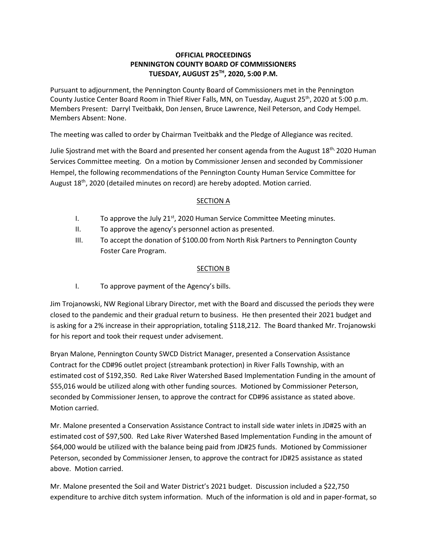#### **OFFICIAL PROCEEDINGS PENNINGTON COUNTY BOARD OF COMMISSIONERS TUESDAY, AUGUST 25TH, 2020, 5:00 P.M.**

Pursuant to adjournment, the Pennington County Board of Commissioners met in the Pennington County Justice Center Board Room in Thief River Falls, MN, on Tuesday, August 25<sup>th</sup>, 2020 at 5:00 p.m. Members Present: Darryl Tveitbakk, Don Jensen, Bruce Lawrence, Neil Peterson, and Cody Hempel. Members Absent: None.

The meeting was called to order by Chairman Tveitbakk and the Pledge of Allegiance was recited.

Julie Sjostrand met with the Board and presented her consent agenda from the August 18<sup>th,</sup> 2020 Human Services Committee meeting. On a motion by Commissioner Jensen and seconded by Commissioner Hempel, the following recommendations of the Pennington County Human Service Committee for August 18<sup>th</sup>, 2020 (detailed minutes on record) are hereby adopted. Motion carried.

#### SECTION A

- I. To approve the July  $21^{st}$ , 2020 Human Service Committee Meeting minutes.
- II. To approve the agency's personnel action as presented.
- III. To accept the donation of \$100.00 from North Risk Partners to Pennington County Foster Care Program.

#### SECTION B

I. To approve payment of the Agency's bills.

Jim Trojanowski, NW Regional Library Director, met with the Board and discussed the periods they were closed to the pandemic and their gradual return to business. He then presented their 2021 budget and is asking for a 2% increase in their appropriation, totaling \$118,212. The Board thanked Mr. Trojanowski for his report and took their request under advisement.

Bryan Malone, Pennington County SWCD District Manager, presented a Conservation Assistance Contract for the CD#96 outlet project (streambank protection) in River Falls Township, with an estimated cost of \$192,350. Red Lake River Watershed Based Implementation Funding in the amount of \$55,016 would be utilized along with other funding sources. Motioned by Commissioner Peterson, seconded by Commissioner Jensen, to approve the contract for CD#96 assistance as stated above. Motion carried.

Mr. Malone presented a Conservation Assistance Contract to install side water inlets in JD#25 with an estimated cost of \$97,500. Red Lake River Watershed Based Implementation Funding in the amount of \$64,000 would be utilized with the balance being paid from JD#25 funds. Motioned by Commissioner Peterson, seconded by Commissioner Jensen, to approve the contract for JD#25 assistance as stated above. Motion carried.

Mr. Malone presented the Soil and Water District's 2021 budget. Discussion included a \$22,750 expenditure to archive ditch system information. Much of the information is old and in paper-format, so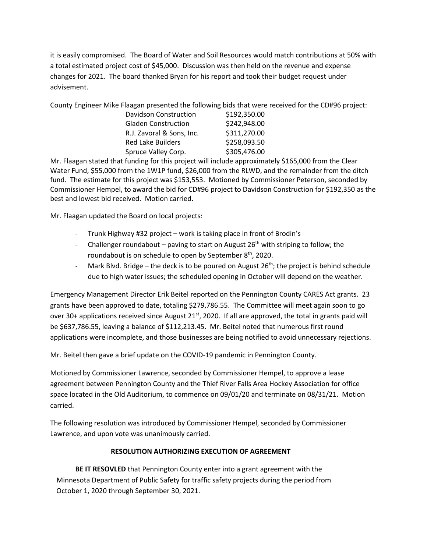it is easily compromised. The Board of Water and Soil Resources would match contributions at 50% with a total estimated project cost of \$45,000. Discussion was then held on the revenue and expense changes for 2021. The board thanked Bryan for his report and took their budget request under advisement.

County Engineer Mike Flaagan presented the following bids that were received for the CD#96 project:

| \$192,350.00 |
|--------------|
| \$242,948.00 |
| \$311,270.00 |
| \$258,093.50 |
| \$305,476.00 |
|              |

Mr. Flaagan stated that funding for this project will include approximately \$165,000 from the Clear Water Fund, \$55,000 from the 1W1P fund, \$26,000 from the RLWD, and the remainder from the ditch fund. The estimate for this project was \$153,553. Motioned by Commissioner Peterson, seconded by Commissioner Hempel, to award the bid for CD#96 project to Davidson Construction for \$192,350 as the best and lowest bid received. Motion carried.

Mr. Flaagan updated the Board on local projects:

- Trunk Highway #32 project work is taking place in front of Brodin's
- Challenger roundabout paving to start on August  $26<sup>th</sup>$  with striping to follow; the roundabout is on schedule to open by September 8<sup>th</sup>, 2020.
- Mark Blvd. Bridge the deck is to be poured on August  $26<sup>th</sup>$ ; the project is behind schedule due to high water issues; the scheduled opening in October will depend on the weather.

Emergency Management Director Erik Beitel reported on the Pennington County CARES Act grants. 23 grants have been approved to date, totaling \$279,786.55. The Committee will meet again soon to go over 30+ applications received since August  $21<sup>st</sup>$ , 2020. If all are approved, the total in grants paid will be \$637,786.55, leaving a balance of \$112,213.45. Mr. Beitel noted that numerous first round applications were incomplete, and those businesses are being notified to avoid unnecessary rejections.

Mr. Beitel then gave a brief update on the COVID-19 pandemic in Pennington County.

Motioned by Commissioner Lawrence, seconded by Commissioner Hempel, to approve a lease agreement between Pennington County and the Thief River Falls Area Hockey Association for office space located in the Old Auditorium, to commence on 09/01/20 and terminate on 08/31/21. Motion carried.

The following resolution was introduced by Commissioner Hempel, seconded by Commissioner Lawrence, and upon vote was unanimously carried.

#### **RESOLUTION AUTHORIZING EXECUTION OF AGREEMENT**

**BE IT RESOVLED** that Pennington County enter into a grant agreement with the Minnesota Department of Public Safety for traffic safety projects during the period from October 1, 2020 through September 30, 2021.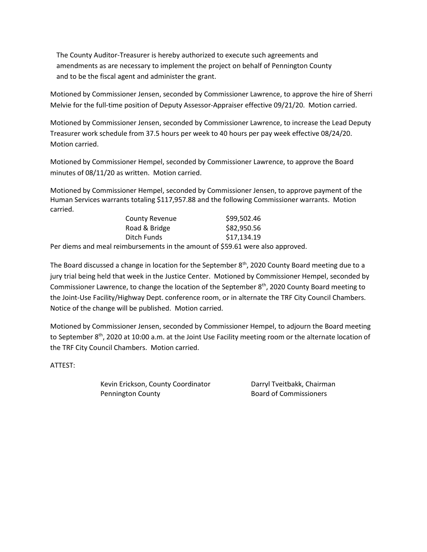The County Auditor-Treasurer is hereby authorized to execute such agreements and amendments as are necessary to implement the project on behalf of Pennington County and to be the fiscal agent and administer the grant.

Motioned by Commissioner Jensen, seconded by Commissioner Lawrence, to approve the hire of Sherri Melvie for the full-time position of Deputy Assessor-Appraiser effective 09/21/20. Motion carried.

Motioned by Commissioner Jensen, seconded by Commissioner Lawrence, to increase the Lead Deputy Treasurer work schedule from 37.5 hours per week to 40 hours per pay week effective 08/24/20. Motion carried.

Motioned by Commissioner Hempel, seconded by Commissioner Lawrence, to approve the Board minutes of 08/11/20 as written. Motion carried.

Motioned by Commissioner Hempel, seconded by Commissioner Jensen, to approve payment of the Human Services warrants totaling \$117,957.88 and the following Commissioner warrants. Motion carried.

| <b>County Revenue</b>                                                         | \$99,502.46 |
|-------------------------------------------------------------------------------|-------------|
| Road & Bridge                                                                 | \$82,950.56 |
| Ditch Funds                                                                   | \$17,134.19 |
| e and measl relief theoretic that he a security of CEO C1 where a less proper |             |

Per diems and meal reimbursements in the amount of \$59.61 were also approved.

The Board discussed a change in location for the September  $8<sup>th</sup>$ , 2020 County Board meeting due to a jury trial being held that week in the Justice Center. Motioned by Commissioner Hempel, seconded by Commissioner Lawrence, to change the location of the September 8<sup>th</sup>, 2020 County Board meeting to the Joint-Use Facility/Highway Dept. conference room, or in alternate the TRF City Council Chambers. Notice of the change will be published. Motion carried.

Motioned by Commissioner Jensen, seconded by Commissioner Hempel, to adjourn the Board meeting to September 8<sup>th</sup>, 2020 at 10:00 a.m. at the Joint Use Facility meeting room or the alternate location of the TRF City Council Chambers. Motion carried.

ATTEST:

Kevin Erickson, County Coordinator **Darryl Tveitbakk, Chairman** Pennington County **Board of Commissioners**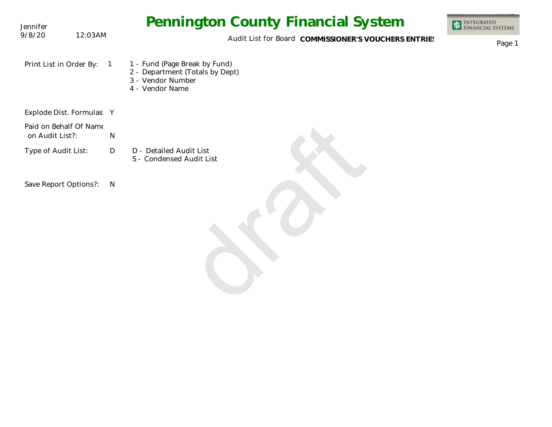| Jennifer                                  |   | <b>Pennington County Financial System</b>                                                                | <b>INTEGRATED</b><br>FINANCIAL SYSTEMS |
|-------------------------------------------|---|----------------------------------------------------------------------------------------------------------|----------------------------------------|
| 9/8/20<br>12:03AM                         |   | Audit List for Board COMMISSIONER'S VOUCHERS ENTRIES                                                     | Page 1                                 |
| Print List in Order By:                   |   | 1 - Fund (Page Break by Fund)<br>2 - Department (Totals by Dept)<br>3 - Vendor Number<br>4 - Vendor Name |                                        |
| Explode Dist. Formulas Y                  |   |                                                                                                          |                                        |
| Paid on Behalf Of Name<br>on Audit List?: | N |                                                                                                          |                                        |
| Type of Audit List:                       | D | D - Detailed Audit List<br>S - Condensed Audit List                                                      |                                        |
| Save Report Options?:                     | N |                                                                                                          |                                        |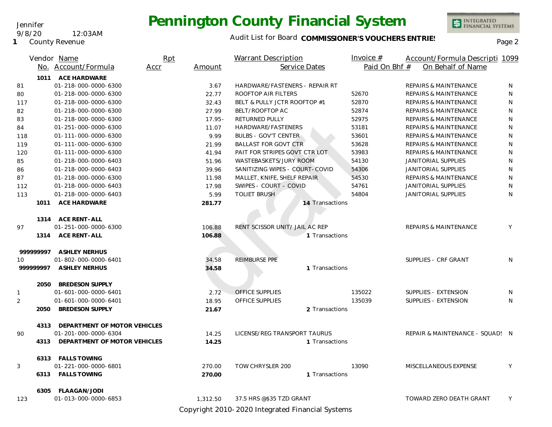#### Jennifer

#### 9/8/20 12:03AM

**1** County Revenue

# **Pennington County Financial System**

### Audit List for Board COMMISSIONER'S VOUCHERS ENTRIES<br>Page 2

INTEGRATED<br>FINANCIAL SYSTEMS

|              |           | Vendor Name                                          | Rpt  |           | Warrant Description            | Invoice $#$   | Account/Formula Descripti 1099   |              |
|--------------|-----------|------------------------------------------------------|------|-----------|--------------------------------|---------------|----------------------------------|--------------|
|              |           | No. Account/Formula                                  | Accr | Amount    | Service Dates                  | Paid On Bhf # | On Behalf of Name                |              |
|              |           | 1011 ACE HARDWARE                                    |      |           |                                |               |                                  |              |
| 81           |           | 01-218-000-0000-6300                                 |      | 3.67      | HARDWARE/FASTENERS - REPAIR RT |               | <b>REPAIRS &amp; MAINTENANCE</b> | N            |
| 80           |           | 01-218-000-0000-6300                                 |      | 22.77     | ROOFTOP AIR FILTERS            | 52670         | <b>REPAIRS &amp; MAINTENANCE</b> | N            |
| 117          |           | 01-218-000-0000-6300                                 |      | 32.43     | BELT & PULLY JCTR ROOFTOP #1   | 52870         | <b>REPAIRS &amp; MAINTENANCE</b> | N            |
| 82           |           | 01-218-000-0000-6300                                 |      | 27.99     | BELT/ROOFTOP AC                | 52874         | <b>REPAIRS &amp; MAINTENANCE</b> | N            |
| 83           |           | 01-218-000-0000-6300                                 |      | $17.95 -$ | RETURNED PULLY                 | 52975         | <b>REPAIRS &amp; MAINTENANCE</b> | ${\sf N}$    |
| 84           |           | 01-251-000-0000-6300                                 |      | 11.07     | HARDWARE/FASTENERS             | 53181         | <b>REPAIRS &amp; MAINTENANCE</b> | N            |
| 118          |           | 01-111-000-0000-6300                                 |      | 9.99      | <b>BULBS - GOV'T CENTER</b>    | 53601         | <b>REPAIRS &amp; MAINTENANCE</b> | N            |
| 119          |           | 01-111-000-0000-6300                                 |      | 21.99     | <b>BALLAST FOR GOVT CTR</b>    | 53628         | <b>REPAIRS &amp; MAINTENANCE</b> | N            |
| 120          |           | 01-111-000-0000-6300                                 |      | 41.94     | PAIT FOR STRIPES GOVT CTR LOT  | 53983         | <b>REPAIRS &amp; MAINTENANCE</b> | $\mathsf{N}$ |
| 85           |           | 01-218-000-0000-6403                                 |      | 51.96     | WASTEBASKETS/JURY ROOM         | 54130         | JANITORIAL SUPPLIES              | ${\sf N}$    |
| 86           |           | 01-218-000-0000-6403                                 |      | 39.96     | SANITIZING WIPES - COURT-COVID | 54306         | JANITORIAL SUPPLIES              | N            |
| 87           |           | 01-218-000-0000-6300                                 |      | 11.98     | MALLET, KNIFE, SHELF REPAIR    | 54530         | <b>REPAIRS &amp; MAINTENANCE</b> | ${\sf N}$    |
| 112          |           | 01-218-000-0000-6403                                 |      | 17.98     | SWIPES - COURT - COVID         | 54761         | JANITORIAL SUPPLIES              | N            |
| 113          |           | 01-218-000-0000-6403                                 |      | 5.99      | <b>TOLIET BRUSH</b>            | 54804         | JANITORIAL SUPPLIES              | N            |
|              | 1011      | ACE HARDWARE                                         |      | 281.77    | 14 Transactions                |               |                                  |              |
|              |           |                                                      |      |           |                                |               |                                  |              |
|              |           | 1314 ACE RENT-ALL                                    |      |           |                                |               |                                  |              |
| 97           |           | 01-251-000-0000-6300                                 |      | 106.88    | RENT SCISSOR UNIT/ JAIL AC REP |               | <b>REPAIRS &amp; MAINTENANCE</b> | Y            |
|              |           | 1314 ACE RENT-ALL                                    |      | 106.88    | 1 Transactions                 |               |                                  |              |
|              |           |                                                      |      |           |                                |               |                                  |              |
|              | 999999997 | <b>ASHLEY NERHUS</b>                                 |      |           |                                |               |                                  |              |
| 10           |           | 01-802-000-0000-6401                                 |      | 34.58     | REIMBURSE PPE                  |               | SUPPLIES - CRF GRANT             | N.           |
|              | 999999997 | <b>ASHLEY NERHUS</b>                                 |      | 34.58     | 1 Transactions                 |               |                                  |              |
|              |           |                                                      |      |           |                                |               |                                  |              |
|              |           | 2050 BREDESON SUPPLY                                 |      |           |                                |               |                                  |              |
| $\mathbf{1}$ |           | 01-601-000-0000-6401                                 |      | 2.72      | <b>OFFICE SUPPLIES</b>         | 135022        | SUPPLIES - EXTENSION             | N            |
| 2            |           | 01-601-000-0000-6401                                 |      | 18.95     | OFFICE SUPPLIES                | 135039        | SUPPLIES - EXTENSION             | N            |
|              | 2050      | <b>BREDESON SUPPLY</b>                               |      | 21.67     | 2 Transactions                 |               |                                  |              |
|              |           |                                                      |      |           |                                |               |                                  |              |
| 90           | 4313      | DEPARTMENT OF MOTOR VEHICLES<br>01-201-000-0000-6304 |      | 14.25     | LICENSE/REG TRANSPORT TAURUS   |               | REPAIR & MAINTENANCE - SQUAD: N  |              |
|              | 4313      | DEPARTMENT OF MOTOR VEHICLES                         |      | 14.25     | 1 Transactions                 |               |                                  |              |
|              |           |                                                      |      |           |                                |               |                                  |              |
|              |           | 6313 FALLS TOWING                                    |      |           |                                |               |                                  |              |
| 3            |           | 01-221-000-0000-6801                                 |      | 270.00    | TOW CHRYSLER 200               | 13090         | MISCELLANEOUS EXPENSE            | Y            |
|              |           | 6313 FALLS TOWING                                    |      | 270.00    | 1 Transactions                 |               |                                  |              |
|              |           |                                                      |      |           |                                |               |                                  |              |
|              | 6305      | FLAAGAN/JODI                                         |      |           |                                |               |                                  |              |
| 123          |           | 01-013-000-0000-6853                                 |      | 1,312.50  | 37.5 HRS @\$35 TZD GRANT       |               | TOWARD ZERO DEATH GRANT          | Y            |

Copyright 2010-2020 Integrated Financial Systems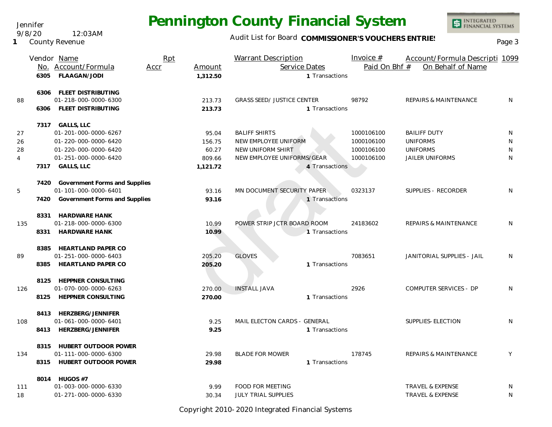Audit List for Board COMMISSIONER'S VOUCHERS ENTRIES<br>Page 3

INTEGRATED<br>FINANCIAL SYSTEMS

|      | Vendor Name                        | Rpt  |          | <b>Warrant Description</b>        | Invoice $#$   | Account/Formula Descripti 1099   |   |
|------|------------------------------------|------|----------|-----------------------------------|---------------|----------------------------------|---|
|      | No. Account/Formula                | Accr | Amount   | Service Dates                     | Paid On Bhf # | On Behalf of Name                |   |
| 6305 | FLAAGAN/JODI                       |      | 1.312.50 | 1 Transactions                    |               |                                  |   |
| 6306 | FLEET DISTRIBUTING                 |      |          |                                   |               |                                  |   |
| 88   | 01-218-000-0000-6300               |      | 213.73   | <b>GRASS SEED/ JUSTICE CENTER</b> | 98792         | REPAIRS & MAINTENANCE            | N |
| 6306 | FLEET DISTRIBUTING                 |      | 213.73   | 1 Transactions                    |               |                                  |   |
|      | 7317 GALLS, LLC                    |      |          |                                   |               |                                  |   |
| 27   | 01-201-000-0000-6267               |      | 95.04    | <b>BALIFF SHIRTS</b>              | 1000106100    | <b>BAILIFF DUTY</b>              | N |
| 26   | 01-220-000-0000-6420               |      | 156.75   | NEW EMPLOYEE UNIFORM              | 1000106100    | <b>UNIFORMS</b>                  | N |
| 28   | 01-220-000-0000-6420               |      | 60.27    | NEW UNIFORM SHIRT                 | 1000106100    | <b>UNIFORMS</b>                  | N |
| 4    | 01-251-000-0000-6420               |      | 809.66   | NEW EMPLOYEE UNIFORMS/GEAR        | 1000106100    | <b>JAILER UNIFORMS</b>           | N |
|      | 7317 GALLS, LLC                    |      | 1,121.72 | 4 Transactions                    |               |                                  |   |
|      | 7420 Government Forms and Supplies |      |          |                                   |               |                                  |   |
| 5    | 01-101-000-0000-6401               |      | 93.16    | MN DOCUMENT SECURITY PAPER        | 0323137       | SUPPLIES - RECORDER              | N |
| 7420 | Government Forms and Supplies      |      | 93.16    | 1 Transactions                    |               |                                  |   |
| 8331 | <b>HARDWARE HANK</b>               |      |          |                                   |               |                                  |   |
| 135  | 01-218-000-0000-6300               |      | 10.99    | POWER STRIP JCTR BOARD ROOM       | 24183602      | <b>REPAIRS &amp; MAINTENANCE</b> | N |
| 8331 | <b>HARDWARE HANK</b>               |      | 10.99    | 1 Transactions                    |               |                                  |   |
|      | 8385 HEARTLAND PAPER CO            |      |          |                                   |               |                                  |   |
| 89   | 01-251-000-0000-6403               |      | 205.20   | <b>GLOVES</b>                     | 7083651       | JANITORIAL SUPPLIES - JAIL       | N |
| 8385 | <b>HEARTLAND PAPER CO</b>          |      | 205.20   | 1 Transactions                    |               |                                  |   |
|      | 8125 HEPPNER CONSULTING            |      |          |                                   |               |                                  |   |
| 126  | 01-070-000-0000-6263               |      | 270.00   | <b>INSTALL JAVA</b>               | 2926          | COMPUTER SERVICES - DP           | N |
| 8125 | HEPPNER CONSULTING                 |      | 270.00   | 1 Transactions                    |               |                                  |   |
|      | 8413 HERZBERG/JENNIFER             |      |          |                                   |               |                                  |   |
| 108  | 01-061-000-0000-6401               |      | 9.25     | MAIL ELECTON CARDS - GENERAL      |               | SUPPLIES-ELECTION                | N |
| 8413 | HERZBERG/JENNIFER                  |      | 9.25     | 1 Transactions                    |               |                                  |   |
| 8315 | HUBERT OUTDOOR POWER               |      |          |                                   |               |                                  |   |
| 134  | 01-111-000-0000-6300               |      | 29.98    | <b>BLADE FOR MOWER</b>            | 178745        | REPAIRS & MAINTENANCE            | Y |
|      | 8315 HUBERT OUTDOOR POWER          |      | 29.98    | 1 Transactions                    |               |                                  |   |
|      | 8014 HUGOS #7                      |      |          |                                   |               |                                  |   |
| 111  | 01-003-000-0000-6330               |      | 9.99     | FOOD FOR MEETING                  |               | TRAVEL & EXPENSE                 | N |
| 18   | 01-271-000-0000-6330               |      | 30.34    | <b>JULY TRIAL SUPPLIES</b>        |               | <b>TRAVEL &amp; EXPENSE</b>      | N |

Copyright 2010-2020 Integrated Financial Systems

Jennifer

**1** County Revenue 9/8/20 12:03AM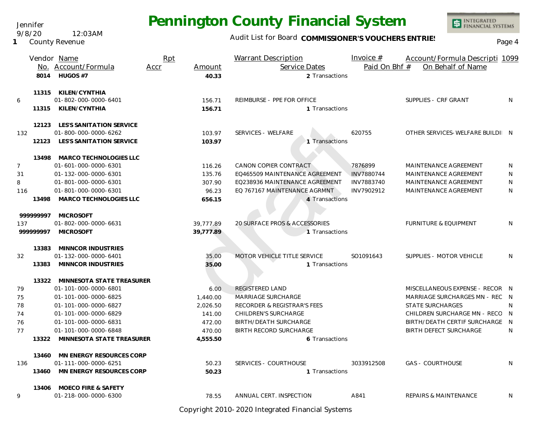Audit List for Board COMMISSIONER'S VOUCHERS ENTRIES<br>Page 4

|                                  | 8014                  | Vendor Name<br>No. Account/Formula<br>HUGOS #7                                                                                                                                                               | Rpt<br>Accr | Amount<br>40.33                                                        | <b>Warrant Description</b><br>Service Dates<br>2 Transactions                                                                                                                   | Invoice $#$<br>Paid On Bhf #                      | Account/Formula Descripti 1099<br>On Behalf of Name                                                                                                                                               |                  |
|----------------------------------|-----------------------|--------------------------------------------------------------------------------------------------------------------------------------------------------------------------------------------------------------|-------------|------------------------------------------------------------------------|---------------------------------------------------------------------------------------------------------------------------------------------------------------------------------|---------------------------------------------------|---------------------------------------------------------------------------------------------------------------------------------------------------------------------------------------------------|------------------|
| 6                                |                       | 11315 KILEN/CYNTHIA<br>01-802-000-0000-6401<br>11315 KILEN/CYNTHIA                                                                                                                                           |             | 156.71<br>156.71                                                       | REIMBURSE - PPE FOR OFFICE<br>1 Transactions                                                                                                                                    |                                                   | SUPPLIES - CRF GRANT                                                                                                                                                                              | N                |
| 132                              |                       | 12123 LES'S SANITATION SERVICE<br>01-800-000-0000-6262<br>12123 LES'S SANITATION SERVICE                                                                                                                     |             | 103.97<br>103.97                                                       | SERVICES - WELFARE<br>1 Transactions                                                                                                                                            | 620755                                            | OTHER SERVICES-WELFARE BUILDI N                                                                                                                                                                   |                  |
| $\overline{7}$<br>31<br>8<br>116 | 13498                 | 13498 MARCO TECHNOLOGIES LLC<br>01-601-000-0000-6301<br>01-132-000-0000-6301<br>01-801-000-0000-6301<br>01-801-000-0000-6301<br>MARCO TECHNOLOGIES LLC                                                       |             | 116.26<br>135.76<br>307.90<br>96.23<br>656.15                          | CANON COPIER CONTRACT<br>EQ465509 MAINTENANCE AGREEMENT<br>EQ238936 MAINTENANCE AGREEMENT<br>EQ 767167 MAINTENANCE AGRMNT<br>4 Transactions                                     | 7876899<br>INV7880744<br>INV7883740<br>INV7902912 | MAINTENANCE AGREEMENT<br>MAINTENANCE AGREEMENT<br>MAINTENANCE AGREEMENT<br>MAINTENANCE AGREEMENT                                                                                                  | N<br>N<br>N<br>N |
| 137                              | 99999997<br>999999997 | <b>MICROSOFT</b><br>01-802-000-0000-6631<br><b>MICROSOFT</b>                                                                                                                                                 |             | 39,777.89<br>39,777.89                                                 | 20 SURFACE PROS & ACCESSORIES<br>1 Transactions                                                                                                                                 |                                                   | <b>FURNITURE &amp; EQUIPMENT</b>                                                                                                                                                                  | N                |
| 32                               | 13383                 | MINNCOR INDUSTRIES<br>01-132-000-0000-6401<br>13383 MINNCOR INDUSTRIES                                                                                                                                       |             | 35.00<br>35.00                                                         | MOTOR VEHICLE TITLE SERVICE<br>1 Transactions                                                                                                                                   | SO1091643                                         | SUPPLIES - MOTOR VEHICLE                                                                                                                                                                          | N                |
| 79<br>75<br>78<br>74<br>76<br>77 | 13322                 | 13322 MINNESOTA STATE TREASURER<br>01-101-000-0000-6801<br>01-101-000-0000-6825<br>01-101-000-0000-6827<br>01-101-000-0000-6829<br>01-101-000-0000-6831<br>01-101-000-0000-6848<br>MINNESOTA STATE TREASURER |             | 6.00<br>1,440.00<br>2,026.50<br>141.00<br>472.00<br>470.00<br>4,555.50 | REGISTERED LAND<br>MARRIAGE SURCHARGE<br>RECORDER & REGISTRAR'S FEES<br>CHILDREN'S SURCHARGE<br><b>BIRTH/DEATH SURCHARGE</b><br><b>BIRTH RECORD SURCHARGE</b><br>6 Transactions |                                                   | MISCELLANEOUS EXPENSE - RECOR N<br>MARRIAGE SURCHARGES MN - REC N<br><b>STATE SURCHARGES</b><br>CHILDREN SURCHARGE MN - RECO N<br>BIRTH/DEATH CERTIF SURCHARGE N<br><b>BIRTH DEFECT SURCHARGE</b> | N<br>N           |
| 136                              | 13460<br>13460        | MN ENERGY RESOURCES CORP<br>01-111-000-0000-6251<br>MN ENERGY RESOURCES CORP                                                                                                                                 |             | 50.23<br>50.23                                                         | SERVICES - COURTHOUSE<br>1 Transactions                                                                                                                                         | 3033912508                                        | <b>GAS - COURTHOUSE</b>                                                                                                                                                                           | N                |
| 9                                | 13406                 | <b>MOECO FIRE &amp; SAFETY</b><br>01-218-000-0000-6300                                                                                                                                                       |             | 78.55                                                                  | ANNUAL CERT. INSPECTION                                                                                                                                                         | A841                                              | <b>REPAIRS &amp; MAINTENANCE</b>                                                                                                                                                                  | N                |

Copyright 2010-2020 Integrated Financial Systems

Jennifer 9/8/20 12:03AM

**1** County Revenue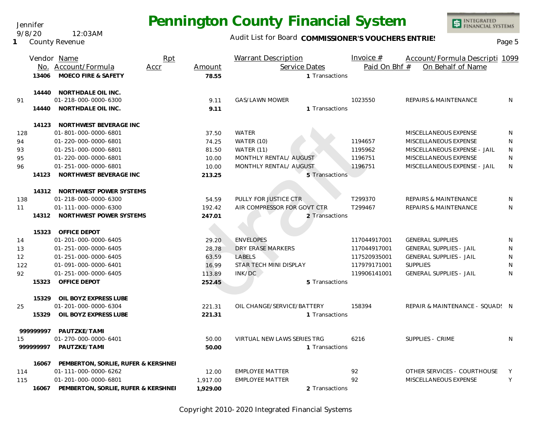Jennifer 9/8/20 12:03AM

**1** County Revenue

### Audit List for Board COMMISSIONER'S VOUCHERS ENTRIES<br>Page 5

|     |           | Vendor Name                               | Rpt  |          | Warrant Description         | Invoice $#$   | Account/Formula Descripti 1099   |    |
|-----|-----------|-------------------------------------------|------|----------|-----------------------------|---------------|----------------------------------|----|
|     |           | No. Account/Formula                       | Accr | Amount   | Service Dates               | Paid On Bhf # | On Behalf of Name                |    |
|     | 13406     | MOECO FIRE & SAFETY                       |      | 78.55    | 1 Transactions              |               |                                  |    |
|     |           | 14440 NORTHDALE OIL INC.                  |      |          |                             |               |                                  |    |
| 91  |           | 01-218-000-0000-6300                      |      | 9.11     | GAS/LAWN MOWER              | 1023550       | REPAIRS & MAINTENANCE            | N. |
|     |           | 14440 NORTHDALE OIL INC.                  |      | 9.11     | 1 Transactions              |               |                                  |    |
|     |           | 14123 NORTHWEST BEVERAGE INC              |      |          |                             |               |                                  |    |
| 128 |           | 01-801-000-0000-6801                      |      | 37.50    | WATER                       |               | MISCELLANEOUS EXPENSE            | N  |
| 94  |           | 01-220-000-0000-6801                      |      | 74.25    | WATER (10)                  | 1194657       | MISCELLANEOUS EXPENSE            | N  |
| 93  |           | 01-251-000-0000-6801                      |      | 81.50    | <b>WATER (11)</b>           | 1195962       | MISCELLANEOUS EXPENSE - JAIL     | N  |
| 95  |           | 01-220-000-0000-6801                      |      | 10.00    | MONTHLY RENTAL/ AUGUST      | 1196751       | MISCELLANEOUS EXPENSE            | N  |
| 96  |           | 01-251-000-0000-6801                      |      | 10.00    | MONTHLY RENTAL/ AUGUST      | 1196751       | MISCELLANEOUS EXPENSE - JAIL     | N  |
|     | 14123     | NORTHWEST BEVERAGE INC                    |      | 213.25   | 5 Transactions              |               |                                  |    |
|     |           | 14312 NORTHWEST POWER SYSTEMS             |      |          |                             |               |                                  |    |
| 138 |           | 01-218-000-0000-6300                      |      | 54.59    | PULLY FOR JUSTICE CTR       | T299370       | REPAIRS & MAINTENANCE            | N  |
| 11  |           | 01-111-000-0000-6300                      |      | 192.42   | AIR COMPRESSOR FOR GOVT CTR | T299467       | <b>REPAIRS &amp; MAINTENANCE</b> | N  |
|     |           | 14312 NORTHWEST POWER SYSTEMS             |      | 247.01   | 2 Transactions              |               |                                  |    |
|     | 15323     | OFFICE DEPOT                              |      |          |                             |               |                                  |    |
| 14  |           | 01-201-000-0000-6405                      |      | 29.20    | <b>ENVELOPES</b>            | 117044917001  | <b>GENERAL SUPPLIES</b>          | N  |
| 13  |           | 01-251-000-0000-6405                      |      | 28.78    | DRY ERASE MARKERS           | 117044917001  | <b>GENERAL SUPPLIES - JAIL</b>   | N  |
| 12  |           | 01-251-000-0000-6405                      |      | 63.59    | <b>LABELS</b>               | 117520935001  | <b>GENERAL SUPPLIES - JAIL</b>   | N  |
| 122 |           | 01-091-000-0000-6401                      |      | 16.99    | STAR TECH MINI DISPLAY      | 117979171001  | <b>SUPPLIES</b>                  | N  |
| 92  |           | 01-251-000-0000-6405                      |      | 113.89   | INK/DC                      | 119906141001  | <b>GENERAL SUPPLIES - JAIL</b>   | N  |
|     | 15323     | OFFICE DEPOT                              |      | 252.45   | 5 Transactions              |               |                                  |    |
|     | 15329     | OIL BOYZ EXPRESS LUBE                     |      |          |                             |               |                                  |    |
| 25  |           | 01-201-000-0000-6304                      |      | 221.31   | OIL CHANGE/SERVICE/BATTERY  | 158394        | REPAIR & MAINTENANCE - SQUAD: N  |    |
|     | 15329     | OIL BOYZ EXPRESS LUBE                     |      | 221.31   | 1 Transactions              |               |                                  |    |
|     | 999999997 | PAUTZKE/TAMI                              |      |          |                             |               |                                  |    |
| 15  |           | 01-270-000-0000-6401                      |      | 50.00    | VIRTUAL NEW LAWS SERIES TRG | 6216          | SUPPLIES - CRIME                 | N  |
|     | 99999997  | PAUTZKE/TAMI                              |      | 50.00    | 1 Transactions              |               |                                  |    |
|     |           | 16067 PEMBERTON, SORLIE, RUFER & KERSHNEI |      |          |                             |               |                                  |    |
| 114 |           | 01-111-000-0000-6262                      |      | 12.00    | <b>EMPLOYEE MATTER</b>      | 92            | OTHER SERVICES - COURTHOUSE      | Y  |
| 115 |           | 01-201-000-0000-6801                      |      | 1,917.00 | <b>EMPLOYEE MATTER</b>      | 92            | MISCELLANEOUS EXPENSE            | Y  |
|     | 16067     | PEMBERTON, SORLIE, RUFER & KERSHNEI       |      | 1,929.00 | 2 Transactions              |               |                                  |    |

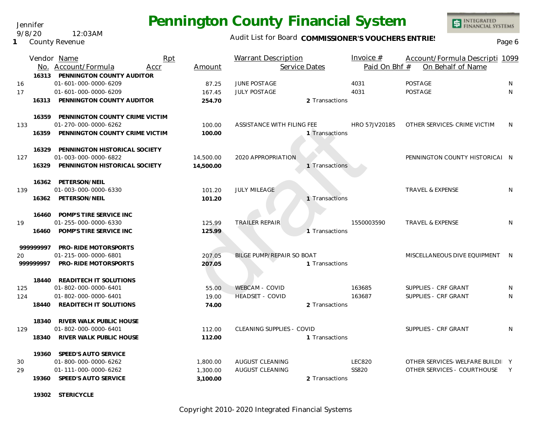Jennifer 9/8/20 12:03AM

**19302 STERICYCLE**

**1** County Revenue

#### Audit List for Board COMMISSIONER'S VOUCHERS ENTRIES

|     |           | Vendor Name<br>No. Account/Formula<br>16313 PENNINGTON COUNTY AUDITOR | Rpt<br>Accr | Amount    | <b>Warrant Description</b><br>Service Dates |                | Invoice $#$<br>Paid On Bhf # | Account/Formula Descripti 1099<br>On Behalf of Name |   |
|-----|-----------|-----------------------------------------------------------------------|-------------|-----------|---------------------------------------------|----------------|------------------------------|-----------------------------------------------------|---|
| 16  |           | 01-601-000-0000-6209                                                  |             | 87.25     | <b>JUNE POSTAGE</b>                         |                | 4031                         | POSTAGE                                             | N |
| 17  |           | 01-601-000-0000-6209                                                  |             | 167.45    | <b>JULY POSTAGE</b>                         |                | 4031                         | <b>POSTAGE</b>                                      | N |
|     | 16313     | PENNINGTON COUNTY AUDITOR                                             |             | 254.70    |                                             | 2 Transactions |                              |                                                     |   |
|     | 16359     | PENNINGTON COUNTY CRIME VICTIM                                        |             |           |                                             |                |                              |                                                     |   |
| 133 |           | 01-270-000-0000-6262                                                  |             | 100.00    | ASSISTANCE WITH FILING FEE                  |                | HRO 57JV20185                | OTHER SERVICES-CRIME VICTIM                         | N |
|     | 16359     | PENNINGTON COUNTY CRIME VICTIM                                        |             | 100.00    |                                             | 1 Transactions |                              |                                                     |   |
|     | 16329     | PENNINGTON HISTORICAL SOCIETY                                         |             |           |                                             |                |                              |                                                     |   |
| 127 |           | 01-003-000-0000-6822                                                  |             | 14,500.00 | 2020 APPROPRIATION                          |                |                              | PENNINGTON COUNTY HISTORICAL N                      |   |
|     | 16329     | PENNINGTON HISTORICAL SOCIETY                                         |             | 14,500.00 |                                             | 1 Transactions |                              |                                                     |   |
|     |           | 16362 PETERSON/NEIL                                                   |             |           |                                             |                |                              |                                                     |   |
| 139 |           | 01-003-000-0000-6330                                                  |             | 101.20    | <b>JULY MILEAGE</b>                         |                |                              | <b>TRAVEL &amp; EXPENSE</b>                         | N |
|     |           | 16362 PETERSON/NEIL                                                   |             | 101.20    |                                             | 1 Transactions |                              |                                                     |   |
|     |           | 16460 POMP'S TIRE SERVICE INC                                         |             |           |                                             |                |                              |                                                     |   |
| 19  |           | 01-255-000-0000-6330                                                  |             | 125.99    | <b>TRAILER REPAIR</b>                       |                | 1550003590                   | <b>TRAVEL &amp; EXPENSE</b>                         | N |
|     | 16460     | POMP'S TIRE SERVICE INC                                               |             | 125.99    |                                             | 1 Transactions |                              |                                                     |   |
|     | 99999997  | PRO-RIDE MOTORSPORTS                                                  |             |           |                                             |                |                              |                                                     |   |
| 20  |           | 01-215-000-0000-6801                                                  |             | 207.05    | BILGE PUMP/REPAIR SO BOAT                   |                |                              | MISCELLANEOUS DIVE EQUIPMENT N                      |   |
|     | 999999997 | PRO-RIDE MOTORSPORTS                                                  |             | 207.05    |                                             | 1 Transactions |                              |                                                     |   |
|     | 18440     | READITECH IT SOLUTIONS                                                |             |           |                                             |                |                              |                                                     |   |
| 125 |           | 01-802-000-0000-6401                                                  |             | 55.00     | <b>WEBCAM - COVID</b>                       |                | 163685                       | SUPPLIES - CRF GRANT                                | N |
| 124 |           | 01-802-000-0000-6401                                                  |             | 19.00     | <b>HEADSET - COVID</b>                      |                | 163687                       | SUPPLIES - CRF GRANT                                | N |
|     | 18440     | <b>READITECH IT SOLUTIONS</b>                                         |             | 74.00     |                                             | 2 Transactions |                              |                                                     |   |
|     | 18340     | RIVER WALK PUBLIC HOUSE                                               |             |           |                                             |                |                              |                                                     |   |
| 129 |           | 01-802-000-0000-6401                                                  |             | 112.00    | CLEANING SUPPLIES - COVID                   |                |                              | SUPPLIES - CRF GRANT                                | N |
|     | 18340     | RIVER WALK PUBLIC HOUSE                                               |             | 112.00    |                                             | 1 Transactions |                              |                                                     |   |
|     |           | 19360 SPEED'S AUTO SERVICE                                            |             |           |                                             |                |                              |                                                     |   |
| 30  |           | 01-800-000-0000-6262                                                  |             | 1,800.00  | AUGUST CLEANING                             |                | <b>LEC820</b>                | OTHER SERVICES-WELFARE BUILDI Y                     |   |
| 29  |           | 01-111-000-0000-6262                                                  |             | 1,300.00  | AUGUST CLEANING                             |                | SS820                        | OTHER SERVICES - COURTHOUSE                         | Y |
|     | 19360     | SPEED'S AUTO SERVICE                                                  |             | 3,100.00  |                                             | 2 Transactions |                              |                                                     |   |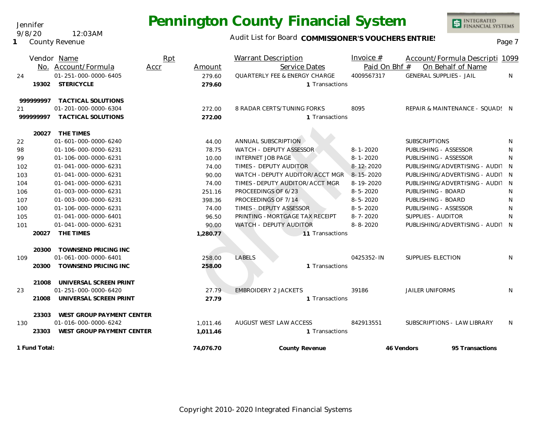Audit List for Board COMMISSIONER'S VOUCHERS ENTRIES<br>Page 7

INTEGRATED<br>FINANCIAL SYSTEMS

|           | Vendor Name                 | Rpt  |          | Warrant Description                      | Invoice $#$     | Account/Formula Descripti 1099   |    |
|-----------|-----------------------------|------|----------|------------------------------------------|-----------------|----------------------------------|----|
|           | No. Account/Formula         | Accr | Amount   | Service Dates                            | Paid On Bhf #   | On Behalf of Name                |    |
| 24        | 01-251-000-0000-6405        |      | 279.60   | <b>QUARTERLY FEE &amp; ENERGY CHARGE</b> | 4009567317      | <b>GENERAL SUPPLIES - JAIL</b>   | N  |
| 19302     | <b>STERICYCLE</b>           |      | 279.60   | 1 Transactions                           |                 |                                  |    |
| 99999997  | TACTICAL SOLUTIONS          |      |          |                                          |                 |                                  |    |
| 21        | 01-201-000-0000-6304        |      | 272.00   | 8 RADAR CERTS/TUNING FORKS               | 8095            | REPAIR & MAINTENANCE - SQUAD: N  |    |
| 999999997 | TACTICAL SOLUTIONS          |      | 272.00   | 1 Transactions                           |                 |                                  |    |
| 20027     | THE TIMES                   |      |          |                                          |                 |                                  |    |
| 22        | 01-601-000-0000-6240        |      | 44.00    | ANNUAL SUBSCRIPTION                      |                 | <b>SUBSCRIPTIONS</b>             | N. |
| 98        | 01-106-000-0000-6231        |      | 78.75    | WATCH - DEPUTY ASSESSOR                  | $8 - 1 - 2020$  | PUBLISHING - ASSESSOR            | N  |
| 99        | 01-106-000-0000-6231        |      | 10.00    | <b>INTERNET JOB PAGE</b>                 | $8 - 1 - 2020$  | PUBLISHING - ASSESSOR            | N. |
| 102       | 01-041-000-0000-6231        |      | 74.00    | TIMES - DEPUTY AUDITOR                   | $8 - 12 - 2020$ | PUBLISHING/ADVERTISING - AUDIT N |    |
| 103       | 01-041-000-0000-6231        |      | 90.00    | WATCH - DEPUTY AUDITOR/ACCT MGR          | $8 - 15 - 2020$ | PUBLISHING/ADVERTISING - AUDIT N |    |
| 104       | 01-041-000-0000-6231        |      | 74.00    | TIMES - DEPUTY AUDITOR/ACCT MGR          | $8 - 19 - 2020$ | PUBLISHING/ADVERTISING - AUDIT N |    |
| 106       | 01-003-000-0000-6231        |      | 251.16   | PROCEEDINGS OF 6/23                      | $8 - 5 - 2020$  | PUBLISHING - BOARD               | N  |
| 107       | 01-003-000-0000-6231        |      | 398.36   | PROCEEDINGS OF 7/14                      | $8 - 5 - 2020$  | PUBLISHING - BOARD               | N  |
| 100       | 01-106-000-0000-6231        |      | 74.00    | TIMES - DEPUTY ASSESSOR                  | $8 - 5 - 2020$  | PUBLISHING - ASSESSOR            | N  |
| 105       | 01-041-000-0000-6401        |      | 96.50    | PRINTING - MORTGAGE TAX RECEIPT          | $8 - 7 - 2020$  | SUPPLIES - AUDITOR               | N  |
| 101       | 01-041-000-0000-6231        |      | 90.00    | WATCH - DEPUTY AUDITOR                   | $8 - 8 - 2020$  | PUBLISHING/ADVERTISING - AUDIT N |    |
| 20027     | THE TIMES                   |      | 1,280.77 | 11 Transactions                          |                 |                                  |    |
| 20300     | <b>TOWNSEND PRICING INC</b> |      |          |                                          |                 |                                  |    |
| 109       | 01-061-000-0000-6401        |      | 258.00   | <b>LABELS</b>                            | 0425352-IN      | SUPPLIES-ELECTION                | N. |
| 20300     | TOWNSEND PRICING INC        |      | 258.00   | 1 Transactions                           |                 |                                  |    |
| 21008     | UNIVERSAL SCREEN PRINT      |      |          |                                          |                 |                                  |    |
| 23        | 01-251-000-0000-6420        |      | 27.79    | <b>EMBROIDERY 2 JACKETS</b>              | 39186           | <b>JAILER UNIFORMS</b>           | N  |
| 21008     | UNIVERSAL SCREEN PRINT      |      | 27.79    | 1 Transactions                           |                 |                                  |    |
| 23303     | WEST GROUP PAYMENT CENTER   |      |          |                                          |                 |                                  |    |
| 130       | 01-016-000-0000-6242        |      | 1.011.46 | AUGUST WEST LAW ACCESS                   | 842913551       | SUBSCRIPTIONS - LAW LIBRARY      | N. |

**1 Fund Total: County Revenue 46 Vendors 95 Transactions**

Jennifer

**1** County Revenue

9/8/20 12:03AM

**1,011.46 1**

**74,076.70**

23303 WEST GROUP PAYMENT CENTER  $1,011.46$  1.011.46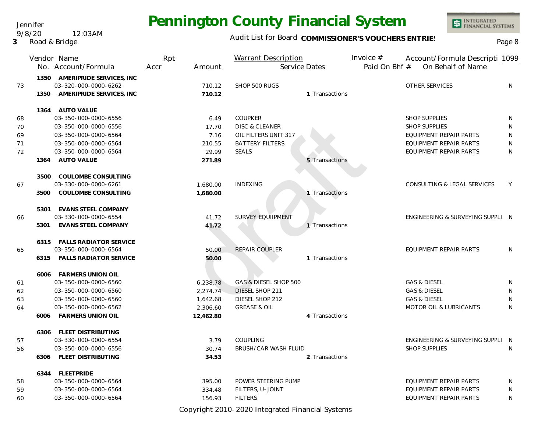Jennifer 9/8/20 12:03AM

**3** Road & Bridge

#### Audit List for Board COMMISSIONER'S VOUCHERS ENTRIES

|    |      | Vendor Name<br>No. Account/Formula | Rpt<br>Accr | Amount    | <b>Warrant Description</b><br>Service Dates |                | Invoice $#$<br>Paid On Bhf # | Account/Formula Descripti 1099<br>On Behalf of Name |              |
|----|------|------------------------------------|-------------|-----------|---------------------------------------------|----------------|------------------------------|-----------------------------------------------------|--------------|
|    |      | 1350 AMERIPRIDE SERVICES, INC      |             |           |                                             |                |                              |                                                     |              |
| 73 |      | 03-320-000-0000-6262               |             | 710.12    | SHOP 500 RUGS                               |                |                              | OTHER SERVICES                                      | N            |
|    | 1350 | AMERIPRIDE SERVICES, INC           |             | 710.12    |                                             | 1 Transactions |                              |                                                     |              |
|    |      | 1364 AUTO VALUE                    |             |           |                                             |                |                              |                                                     |              |
| 68 |      | 03-350-000-0000-6556               |             | 6.49      | COUPKER                                     |                |                              | <b>SHOP SUPPLIES</b>                                | N            |
| 70 |      | 03-350-000-0000-6556               |             | 17.70     | <b>DISC &amp; CLEANER</b>                   |                |                              | <b>SHOP SUPPLIES</b>                                | N            |
| 69 |      | 03-350-000-0000-6564               |             | 7.16      | OIL FILTERS UNIT 317                        |                |                              | EQUIPMENT REPAIR PARTS                              | N            |
| 71 |      | 03-350-000-0000-6564               |             | 210.55    | <b>BATTERY FILTERS</b>                      |                |                              | EQUIPMENT REPAIR PARTS                              | N            |
| 72 |      | 03-350-000-0000-6564               |             | 29.99     | <b>SEALS</b>                                |                |                              | <b>EQUIPMENT REPAIR PARTS</b>                       | $\mathsf{N}$ |
|    | 1364 | <b>AUTO VALUE</b>                  |             | 271.89    |                                             | 5 Transactions |                              |                                                     |              |
|    | 3500 | COULOMBE CONSULTING                |             |           |                                             |                |                              |                                                     |              |
| 67 |      | 03-330-000-0000-6261               |             | 1,680.00  | <b>INDEXING</b>                             |                |                              | CONSULTING & LEGAL SERVICES                         | Y            |
|    | 3500 | COULOMBE CONSULTING                |             | 1,680.00  |                                             | 1 Transactions |                              |                                                     |              |
|    | 5301 | EVANS STEEL COMPANY                |             |           |                                             |                |                              |                                                     |              |
| 66 |      | 03-330-000-0000-6554               |             | 41.72     | <b>SURVEY EQUIIPMENT</b>                    |                |                              | ENGINEERING & SURVEYING SUPPLI N                    |              |
|    |      | 5301 EVANS STEEL COMPANY           |             | 41.72     |                                             | 1 Transactions |                              |                                                     |              |
|    |      | 6315 FALLS RADIATOR SERVICE        |             |           |                                             |                |                              |                                                     |              |
| 65 |      | 03-350-000-0000-6564               |             | 50.00     | REPAIR COUPLER                              |                |                              | EQUIPMENT REPAIR PARTS                              | N.           |
|    |      | 6315 FALLS RADIATOR SERVICE        |             | 50.00     |                                             | 1 Transactions |                              |                                                     |              |
|    |      | 6006 FARMERS UNION OIL             |             |           |                                             |                |                              |                                                     |              |
| 61 |      | 03-350-000-0000-6560               |             | 6,238.78  | GAS & DIESEL SHOP 500                       |                |                              | <b>GAS &amp; DIESEL</b>                             | N            |
| 62 |      | 03-350-000-0000-6560               |             | 2,274.74  | DIESEL SHOP 211                             |                |                              | <b>GAS &amp; DIESEL</b>                             | N            |
| 63 |      | 03-350-000-0000-6560               |             | 1,642.68  | DIESEL SHOP 212                             |                |                              | <b>GAS &amp; DIESEL</b>                             | N            |
| 64 |      | 03-350-000-0000-6562               |             | 2,306.60  | <b>GREASE &amp; OIL</b>                     |                |                              | MOTOR OIL & LUBRICANTS                              | N            |
|    | 6006 | FARMERS UNION OIL                  |             | 12,462.80 |                                             | 4 Transactions |                              |                                                     |              |
|    |      | 6306 FLEET DISTRIBUTING            |             |           |                                             |                |                              |                                                     |              |
| 57 |      | 03-330-000-0000-6554               |             | 3.79      | COUPLING                                    |                |                              | ENGINEERING & SURVEYING SUPPLI N                    |              |
| 56 |      | 03-350-000-0000-6556               |             | 30.74     | BRUSH/CAR WASH FLUID                        |                |                              | <b>SHOP SUPPLIES</b>                                | N            |
|    |      | 6306 FLEET DISTRIBUTING            |             | 34.53     |                                             | 2 Transactions |                              |                                                     |              |
|    |      | 6344 FLEETPRIDE                    |             |           |                                             |                |                              |                                                     |              |
| 58 |      | 03-350-000-0000-6564               |             | 395.00    | POWER STEERING PUMP                         |                |                              | EQUIPMENT REPAIR PARTS                              | N            |
| 59 |      | 03-350-000-0000-6564               |             | 334.48    | FILTERS, U-JOINT                            |                |                              | EQUIPMENT REPAIR PARTS                              | N            |
| 60 |      | 03-350-000-0000-6564               |             | 156.93    | <b>FILTERS</b>                              |                |                              | EQUIPMENT REPAIR PARTS                              | N            |

Copyright 2010-2020 Integrated Financial Systems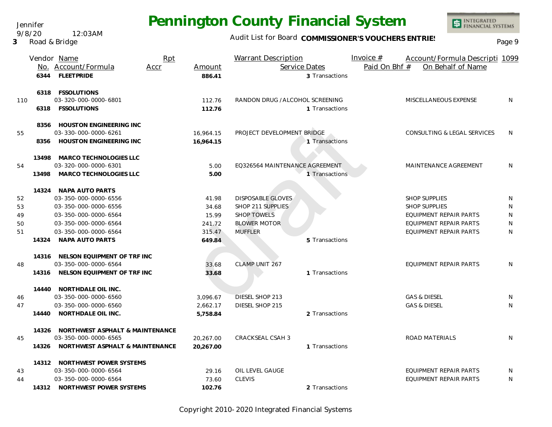Jennifer 9/8/20 12:03AM

**3** Road & Bridge

## **Pennington County Financial System**

### Audit List for Board COMMISSIONER'S VOUCHERS ENTRIES<br>Page 9

|     |       | Vendor Name<br>No. Account/Formula<br>Accr | Rpt<br>Amount | Warrant Description<br>Service Dates | Invoice $#$<br>Account/Formula Descripti 1099<br>Paid On Bhf #<br>On Behalf of Name |              |
|-----|-------|--------------------------------------------|---------------|--------------------------------------|-------------------------------------------------------------------------------------|--------------|
|     |       | 6344 FLEETPRIDE                            | 886.41        | 3 Transactions                       |                                                                                     |              |
|     |       | 6318 FSSOLUTIONS                           |               |                                      |                                                                                     |              |
| 110 |       | 03-320-000-0000-6801                       | 112.76        | RANDON DRUG /ALCOHOL SCREENING       | MISCELLANEOUS EXPENSE                                                               | N            |
|     |       | 6318 FSSOLUTIONS                           | 112.76        | 1 Transactions                       |                                                                                     |              |
|     |       | 8356 HOUSTON ENGINEERING INC               |               |                                      |                                                                                     |              |
| 55  |       | 03-330-000-0000-6261                       | 16,964.15     | PROJECT DEVELOPMENT BRIDGE           | CONSULTING & LEGAL SERVICES                                                         | N            |
|     |       | 8356 HOUSTON ENGINEERING INC               | 16,964.15     | 1 Transactions                       |                                                                                     |              |
|     | 13498 | MARCO TECHNOLOGIES LLC                     |               |                                      |                                                                                     |              |
| 54  |       | 03-320-000-0000-6301                       | 5.00          | EQ326564 MAINTENANCE AGREEMENT       | MAINTENANCE AGREEMENT                                                               | N            |
|     | 13498 | MARCO TECHNOLOGIES LLC                     | 5.00          | 1 Transactions                       |                                                                                     |              |
|     |       | 14324 NAPA AUTO PARTS                      |               |                                      |                                                                                     |              |
| 52  |       | 03-350-000-0000-6556                       | 41.98         | <b>DISPOSABLE GLOVES</b>             | <b>SHOP SUPPLIES</b>                                                                | N            |
| 53  |       | 03-350-000-0000-6556                       | 34.68         | SHOP 211 SUPPLIES                    | SHOP SUPPLIES                                                                       | N            |
| 49  |       | 03-350-000-0000-6564                       | 15.99         | <b>SHOP TOWELS</b>                   | EQUIPMENT REPAIR PARTS                                                              | N            |
| 50  |       | 03-350-000-0000-6564                       | 241.72        | <b>BLOWER MOTOR</b>                  | EQUIPMENT REPAIR PARTS                                                              | N            |
| 51  |       | 03-350-000-0000-6564                       | 315.47        | <b>MUFFLER</b>                       | EQUIPMENT REPAIR PARTS                                                              | N            |
|     | 14324 | NAPA AUTO PARTS                            | 649.84        | 5 Transactions                       |                                                                                     |              |
|     |       | 14316 NELSON EQUIPMENT OF TRF INC          |               |                                      |                                                                                     |              |
| 48  |       | 03-350-000-0000-6564                       | 33.68         | CLAMP UNIT 267                       | EQUIPMENT REPAIR PARTS                                                              | N            |
|     |       | 14316 NELSON EQUIPMENT OF TRF INC          | 33.68         | 1 Transactions                       |                                                                                     |              |
|     |       | 14440 NORTHDALE OIL INC.                   |               |                                      |                                                                                     |              |
| 46  |       | 03-350-000-0000-6560                       | 3,096.67      | DIESEL SHOP 213                      | <b>GAS &amp; DIESEL</b>                                                             | N            |
| 47  |       | 03-350-000-0000-6560                       | 2,662.17      | DIESEL SHOP 215                      | <b>GAS &amp; DIESEL</b>                                                             | N            |
|     |       | 14440 NORTHDALE OIL INC.                   | 5,758.84      | 2 Transactions                       |                                                                                     |              |
|     | 14326 | NORTHWEST ASPHALT & MAINTENANCE            |               |                                      |                                                                                     |              |
| 45  |       | 03-350-000-0000-6565                       | 20,267.00     | CRACKSEAL CSAH 3                     | ROAD MATERIALS                                                                      | N            |
|     |       | 14326 NORTHWEST ASPHALT & MAINTENANCE      | 20,267.00     | 1 Transactions                       |                                                                                     |              |
|     |       | 14312 NORTHWEST POWER SYSTEMS              |               |                                      |                                                                                     |              |
| 43  |       | 03-350-000-0000-6564                       | 29.16         | OIL LEVEL GAUGE                      | EQUIPMENT REPAIR PARTS                                                              | N            |
| 44  |       | 03-350-000-0000-6564                       | 73.60         | <b>CLEVIS</b>                        | <b>EQUIPMENT REPAIR PARTS</b>                                                       | <sup>N</sup> |
|     |       | 14312 NORTHWEST POWER SYSTEMS              | 102.76        | 2 Transactions                       |                                                                                     |              |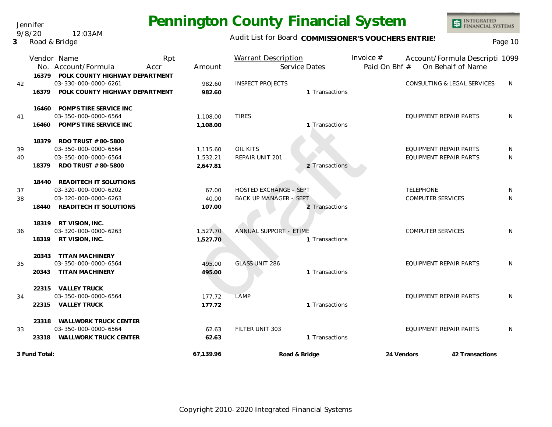Jennifer 9/8/20 12:03AM

**3** Road & Bridge

### Audit List for Board COMMISSIONER'S VOUCHERS ENTRIES<br>Page 10

|          |                | Vendor Name<br>No. Account/Formula                                                                     | Rpt<br>Accr | Amount                           | Warrant Description<br>Service Dates                                      | Invoice $#$<br>Paid On Bhf # | Account/Formula Descripti 1099<br>On Behalf of Name |                 |
|----------|----------------|--------------------------------------------------------------------------------------------------------|-------------|----------------------------------|---------------------------------------------------------------------------|------------------------------|-----------------------------------------------------|-----------------|
| 42       | 16379          | 16379 POLK COUNTY HIGHWAY DEPARTMENT<br>03-330-000-0000-6261<br>POLK COUNTY HIGHWAY DEPARTMENT         |             | 982.60<br>982.60                 | <b>INSPECT PROJECTS</b><br>1 Transactions                                 |                              | CONSULTING & LEGAL SERVICES                         | N               |
| 41       | 16460          | 16460 POMP'S TIRE SERVICE INC<br>03-350-000-0000-6564<br>POMP'S TIRE SERVICE INC                       |             | 1,108.00<br>1,108.00             | <b>TIRES</b><br>1 Transactions                                            |                              | EQUIPMENT REPAIR PARTS                              | N               |
| 39<br>40 | 18379<br>18379 | RDO TRUST # 80-5800<br>03-350-000-0000-6564<br>03-350-000-0000-6564<br>RDO TRUST # 80-5800             |             | 1,115.60<br>1,532.21<br>2,647.81 | <b>OIL KITS</b><br>REPAIR UNIT 201<br>2 Transactions                      |                              | EQUIPMENT REPAIR PARTS<br>EQUIPMENT REPAIR PARTS    | N.<br>N         |
| 37<br>38 | 18440          | 18440 READITECH IT SOLUTIONS<br>03-320-000-0000-6202<br>03-320-000-0000-6263<br>READITECH IT SOLUTIONS |             | 67.00<br>40.00<br>107.00         | HOSTED EXCHANGE - SEPT<br><b>BACK UP MANAGER - SEPT</b><br>2 Transactions |                              | <b>TELEPHONE</b><br><b>COMPUTER SERVICES</b>        | N<br>N          |
| 36       |                | 18319 RT VISION, INC.<br>03-320-000-0000-6263<br>18319 RT VISION, INC.                                 |             | 1,527.70<br>1,527.70             | ANNUAL SUPPORT - ETIME<br>1 Transactions                                  |                              | <b>COMPUTER SERVICES</b>                            | N               |
| 35       | 20343          | 20343 TITAN MACHINERY<br>03-350-000-0000-6564<br>TITAN MACHINERY                                       |             | 495.00<br>495.00                 | <b>GLASS UNIT 286</b><br>1 Transactions                                   |                              | EQUIPMENT REPAIR PARTS                              | N               |
| 34       |                | 22315 VALLEY TRUCK<br>03-350-000-0000-6564<br>22315 VALLEY TRUCK                                       |             | 177.72<br>177.72                 | <b>LAMP</b><br>1 Transactions                                             |                              | EQUIPMENT REPAIR PARTS                              | N               |
| 33       | 23318          | WALLWORK TRUCK CENTER<br>03-350-000-0000-6564<br>23318 WALLWORK TRUCK CENTER                           |             | 62.63<br>62.63                   | FILTER UNIT 303<br>1 Transactions                                         |                              | EQUIPMENT REPAIR PARTS                              | N               |
|          | 3 Fund Total:  |                                                                                                        |             | 67,139.96                        | Road & Bridge                                                             | 24 Vendors                   |                                                     | 42 Transactions |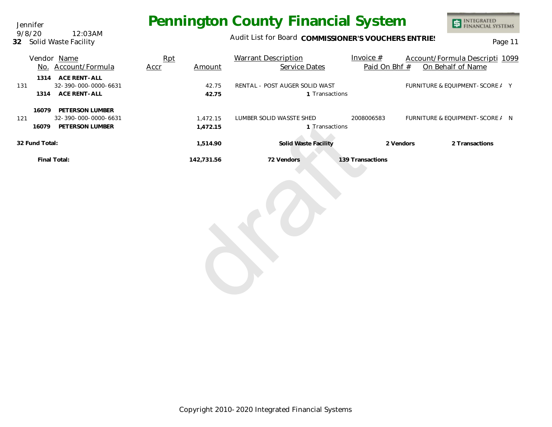Jennifer **32** Solid Waste Facility 9/8/20 12:03AM

### Audit List for Board COMMISSIONER'S VOUCHERS ENTRIES<br>
Page 11

|                | Vendor Name                                                      | Rpt  |                      | <b>Warrant Description</b>                       | Invoice $#$      | Account/Formula Descripti 1099  |
|----------------|------------------------------------------------------------------|------|----------------------|--------------------------------------------------|------------------|---------------------------------|
|                | No. Account/Formula                                              | Accr | Amount               | Service Dates                                    | Paid On Bhf #    | On Behalf of Name               |
| 131<br>1314    | 1314 ACE RENT-ALL<br>32-390-000-0000-6631<br>ACE RENT-ALL        |      | 42.75<br>42.75       | RENTAL - POST AUGER SOLID WAST<br>1 Transactions |                  | FURNITURE & EQUIPMENT-SCORE / Y |
| 16079<br>121   | PETERSON LUMBER<br>32-390-000-0000-6631<br>16079 PETERSON LUMBER |      | 1,472.15<br>1,472.15 | LUMBER SOLID WASSTE SHED<br>1 Transactions       | 2008006583       | FURNITURE & EQUIPMENT-SCORE / N |
| 32 Fund Total: |                                                                  |      | 1,514.90             | Solid Waste Facility                             | 2 Vendors        | 2 Transactions                  |
|                | Final Total:                                                     |      | 142,731.56           | 72 Vendors                                       | 139 Transactions |                                 |
|                |                                                                  |      |                      |                                                  |                  |                                 |
|                |                                                                  |      |                      |                                                  |                  |                                 |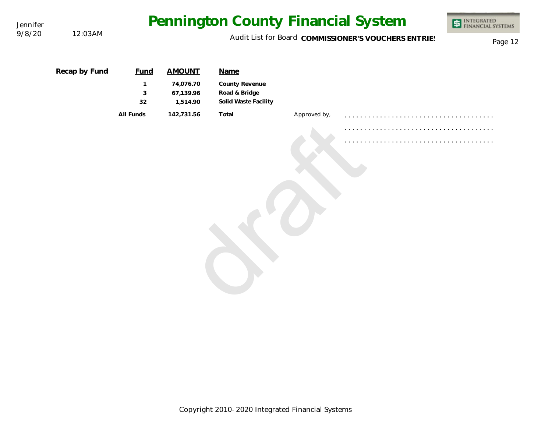| Jennifer<br>9/8/20 | 12:03AM       |                                        |                                                     | Pennington County Financial System                              |              |                                                      | <b>ET INTEGRATED</b><br>FINANCIAL SYSTEMS |
|--------------------|---------------|----------------------------------------|-----------------------------------------------------|-----------------------------------------------------------------|--------------|------------------------------------------------------|-------------------------------------------|
|                    |               |                                        |                                                     |                                                                 |              | Audit List for Board COMMISSIONER'S VOUCHERS ENTRIES | Page 12                                   |
|                    | Recap by Fund | <b>Fund</b><br>$\mathbf{1}$<br>3<br>32 | <b>AMOUNT</b><br>74,076.70<br>67,139.96<br>1,514.90 | Name<br>County Revenue<br>Road & Bridge<br>Solid Waste Facility |              |                                                      |                                           |
|                    |               | All Funds                              | 142,731.56                                          | Total                                                           | Approved by, |                                                      |                                           |

Copyright 2010-2020 Integrated Financial Systems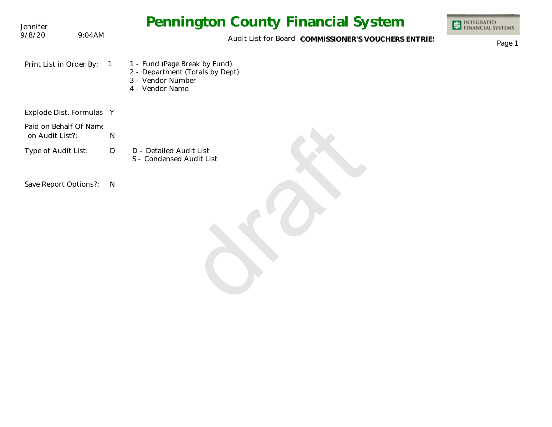| Jennifer                                  |                | <b>Pennington County Financial System</b>                                                                | INTEGRATED<br>FINANCIAL SYSTEMS |
|-------------------------------------------|----------------|----------------------------------------------------------------------------------------------------------|---------------------------------|
| 9/8/20                                    | 9:04AM         | Audit List for Board COMMISSIONER'S VOUCHERS ENTRIES                                                     | Page 1                          |
| Print List in Order By:                   | $\overline{1}$ | 1 - Fund (Page Break by Fund)<br>2 - Department (Totals by Dept)<br>3 - Vendor Number<br>4 - Vendor Name |                                 |
| Explode Dist. Formulas Y                  |                |                                                                                                          |                                 |
| Paid on Behalf Of Name<br>on Audit List?: | ${\sf N}$      |                                                                                                          |                                 |
| Type of Audit List:                       | $\mathsf{D}$   | D - Detailed Audit List<br>S - Condensed Audit List                                                      |                                 |
| Save Report Options?:                     | $\mathsf{N}$   |                                                                                                          |                                 |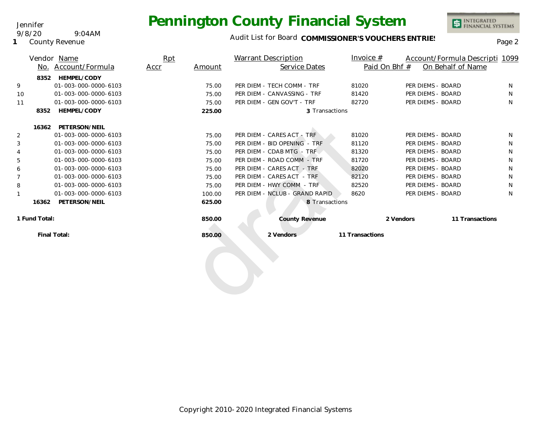

INTEGRATED<br>FINANCIAL SYSTEMS

**1** County Revenue

9/8/20 9:04AM

Jennifer

|    |               | Vendor Name          | Rpt  |        | Warrant Description            | Invoice $#$     |                   | Account/Formula Descripti 1099 |  |
|----|---------------|----------------------|------|--------|--------------------------------|-----------------|-------------------|--------------------------------|--|
|    |               | No. Account/Formula  | Accr | Amount | Service Dates                  |                 | Paid On Bhf #     | On Behalf of Name              |  |
|    | 8352          | HEMPEL/CODY          |      |        |                                |                 |                   |                                |  |
| 9  |               | 01-003-000-0000-6103 |      | 75.00  | PER DIEM - TECH COMM - TRF     | 81020           | PER DIEMS - BOARD | N                              |  |
| 10 |               | 01-003-000-0000-6103 |      | 75.00  | PER DIEM - CANVASSING - TRF    | 81420           | PER DIEMS - BOARD | N                              |  |
| 11 |               | 01-003-000-0000-6103 |      | 75.00  | PER DIEM - GEN GOV'T - TRF     | 82720           | PER DIEMS - BOARD | N.                             |  |
|    | 8352          | HEMPEL/CODY          |      | 225.00 | 3 Transactions                 |                 |                   |                                |  |
|    | 16362         | PETERSON/NEIL        |      |        |                                |                 |                   |                                |  |
| 2  |               | 01-003-000-0000-6103 |      | 75.00  | PER DIEM - CARES ACT - TRF     | 81020           | PER DIEMS - BOARD | N                              |  |
| 3  |               | 01-003-000-0000-6103 |      | 75.00  | PER DIEM - BID OPENING - TRF   | 81120           | PER DIEMS - BOARD | N                              |  |
| 4  |               | 01-003-000-0000-6103 |      | 75.00  | PER DIEM - CDAB MTG - TRF      | 81320           | PER DIEMS - BOARD | N                              |  |
| 5  |               | 01-003-000-0000-6103 |      | 75.00  | PER DIEM - ROAD COMM - TRF     | 81720           | PER DIEMS - BOARD | N                              |  |
| 6  |               | 01-003-000-0000-6103 |      | 75.00  | PER DIEM - CARES ACT - TRF     | 82020           | PER DIEMS - BOARD | N                              |  |
| 7  |               | 01-003-000-0000-6103 |      | 75.00  | PER DIEM - CARES ACT - TRF     | 82120           | PER DIEMS - BOARD | N                              |  |
| 8  |               | 01-003-000-0000-6103 |      | 75.00  | PER DIEM - HWY COMM - TRF      | 82520           | PER DIEMS - BOARD | N                              |  |
| 1  |               | 01-003-000-0000-6103 |      | 100.00 | PER DIEM - NCLUB - GRAND RAPID | 8620            | PER DIEMS - BOARD | N                              |  |
|    | 16362         | PETERSON/NEIL        |      | 625.00 | 8 Transactions                 |                 |                   |                                |  |
|    | 1 Fund Total: |                      |      | 850.00 | <b>County Revenue</b>          |                 | 2 Vendors         | 11 Transactions                |  |
|    |               | Final Total:         |      | 850.00 | 2 Vendors                      | 11 Transactions |                   |                                |  |
|    |               |                      |      |        |                                |                 |                   |                                |  |
|    |               |                      |      |        |                                |                 |                   |                                |  |
|    |               |                      |      |        |                                |                 |                   |                                |  |
|    |               |                      |      |        |                                |                 |                   |                                |  |
|    |               |                      |      |        |                                |                 |                   |                                |  |
|    |               |                      |      |        |                                |                 |                   |                                |  |